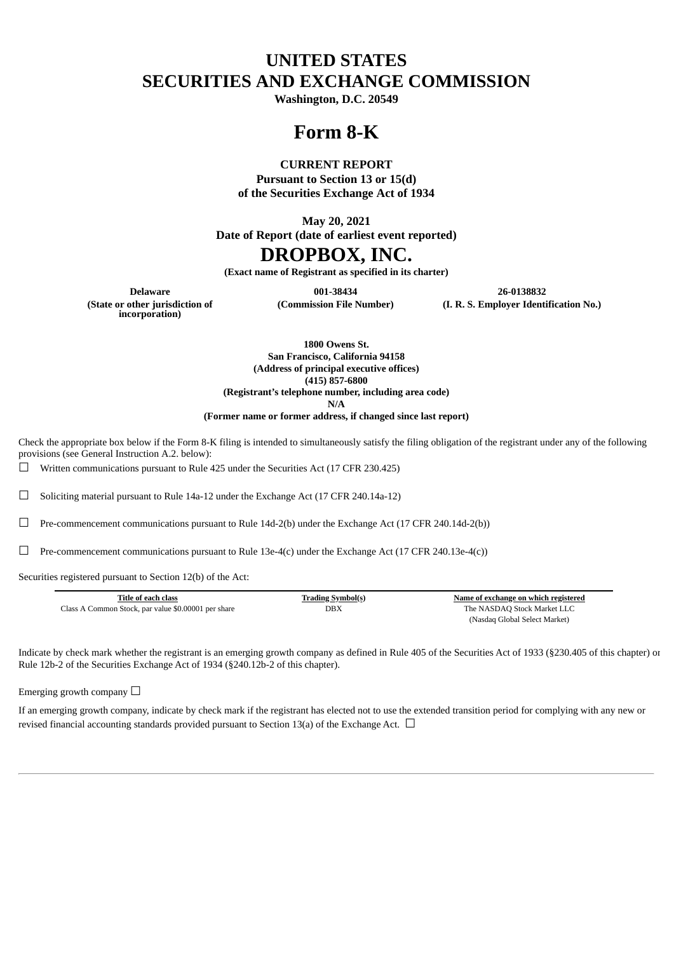# **UNITED STATES SECURITIES AND EXCHANGE COMMISSION**

**Washington, D.C. 20549**

## **Form 8-K**

### **CURRENT REPORT**

**Pursuant to Section 13 or 15(d) of the Securities Exchange Act of 1934**

**May 20, 2021**

**Date of Report (date of earliest event reported)**

## **DROPBOX, INC.**

**(Exact name of Registrant as specified in its charter)**

**Delaware 001-38434 26-0138832 (Commission File Number) (I. R. S. Employer Identification No.)**

**(State or other jurisdiction of incorporation)**

**1800 Owens St. San Francisco, California 94158 (Address of principal executive offices) (415) 857-6800 (Registrant's telephone number, including area code)**

**N/A**

**(Former name or former address, if changed since last report)**

Check the appropriate box below if the Form 8-K filing is intended to simultaneously satisfy the filing obligation of the registrant under any of the following provisions (see General Instruction A.2. below):

 $\Box$  Written communications pursuant to Rule 425 under the Securities Act (17 CFR 230.425)

☐ Soliciting material pursuant to Rule 14a-12 under the Exchange Act (17 CFR 240.14a-12)

 $\Box$  Pre-commencement communications pursuant to Rule 14d-2(b) under the Exchange Act (17 CFR 240.14d-2(b))

 $\Box$  Pre-commencement communications pursuant to Rule 13e-4(c) under the Exchange Act (17 CFR 240.13e-4(c))

Securities registered pursuant to Section 12(b) of the Act:

| Title of each class                                 | <b>Trading Symbol(s)</b> | Name of exchange on which registered |
|-----------------------------------------------------|--------------------------|--------------------------------------|
| Class A Common Stock, par value \$0.00001 per share | DBX                      | The NASDAO Stock Market LLC          |
|                                                     |                          | (Nasdaq Global Select Market)        |

Indicate by check mark whether the registrant is an emerging growth company as defined in Rule 405 of the Securities Act of 1933 (§230.405 of this chapter) or Rule 12b-2 of the Securities Exchange Act of 1934 (§240.12b-2 of this chapter).

Emerging growth company  $\Box$ 

If an emerging growth company, indicate by check mark if the registrant has elected not to use the extended transition period for complying with any new or revised financial accounting standards provided pursuant to Section 13(a) of the Exchange Act.  $\Box$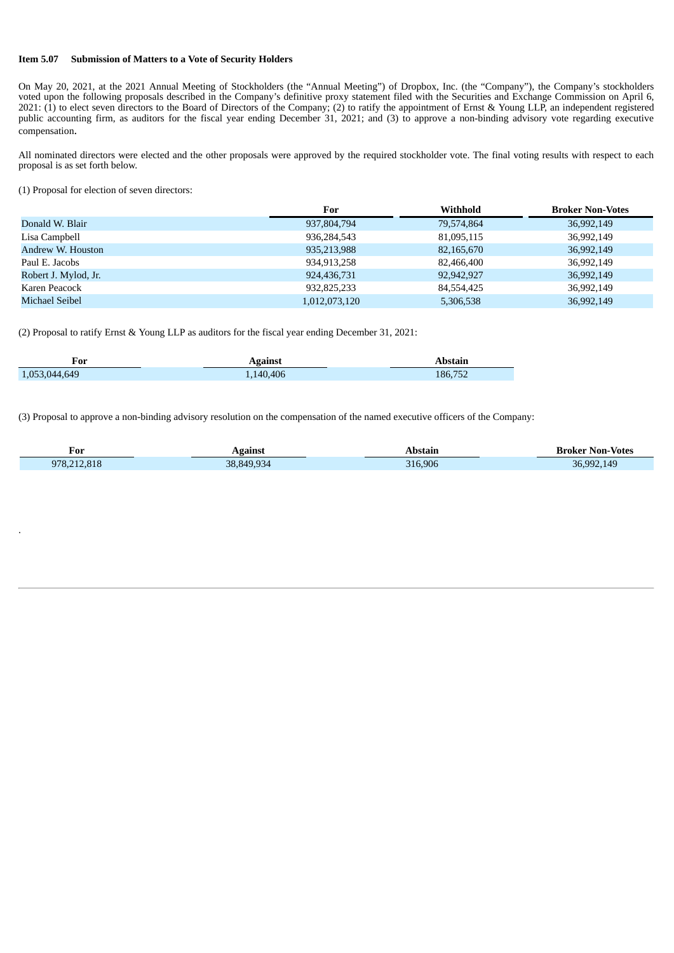#### **Item 5.07 Submission of Matters to a Vote of Security Holders**

On May 20, 2021, at the 2021 Annual Meeting of Stockholders (the "Annual Meeting") of Dropbox, Inc. (the "Company"), the Company's stockholders voted upon the following proposals described in the Company's definitive proxy statement filed with the Securities and Exchange Commission on April 6, 2021: (1) to elect seven directors to the Board of Directors of the Company; (2) to ratify the appointment of Ernst & Young LLP, an independent registered public accounting firm, as auditors for the fiscal year ending December 31, 2021; and (3) to approve a non-binding advisory vote regarding executive compensation.

All nominated directors were elected and the other proposals were approved by the required stockholder vote. The final voting results with respect to each proposal is as set forth below.

(1) Proposal for election of seven directors:

.

|                       | For           | Withhold   | <b>Broker Non-Votes</b> |
|-----------------------|---------------|------------|-------------------------|
| Donald W. Blair       | 937,804,794   | 79,574,864 | 36,992,149              |
| Lisa Campbell         | 936,284,543   | 81,095,115 | 36,992,149              |
| Andrew W. Houston     | 935,213,988   | 82,165,670 | 36,992,149              |
| Paul E. Jacobs        | 934,913,258   | 82,466,400 | 36,992,149              |
| Robert J. Mylod, Jr.  | 924,436,731   | 92,942,927 | 36,992,149              |
| Karen Peacock         | 932,825,233   | 84,554,425 | 36,992,149              |
| <b>Michael Seibel</b> | 1,012,073,120 | 5,306,538  | 36,992,149              |

(2) Proposal to ratify Ernst & Young LLP as auditors for the fiscal year ending December 31, 2021:

| For           | Against   | bstain  |
|---------------|-----------|---------|
| 1.053.044.649 | 1,140,406 | 186,752 |

(3) Proposal to approve a non-binding advisory resolution on the compensation of the named executive officers of the Company:

| For         | Against   | Abstain | <b>Broker Non-Votes</b> |
|-------------|-----------|---------|-------------------------|
| 978.212.818 | 38 849 93 | 316,906 | 36.992.149              |